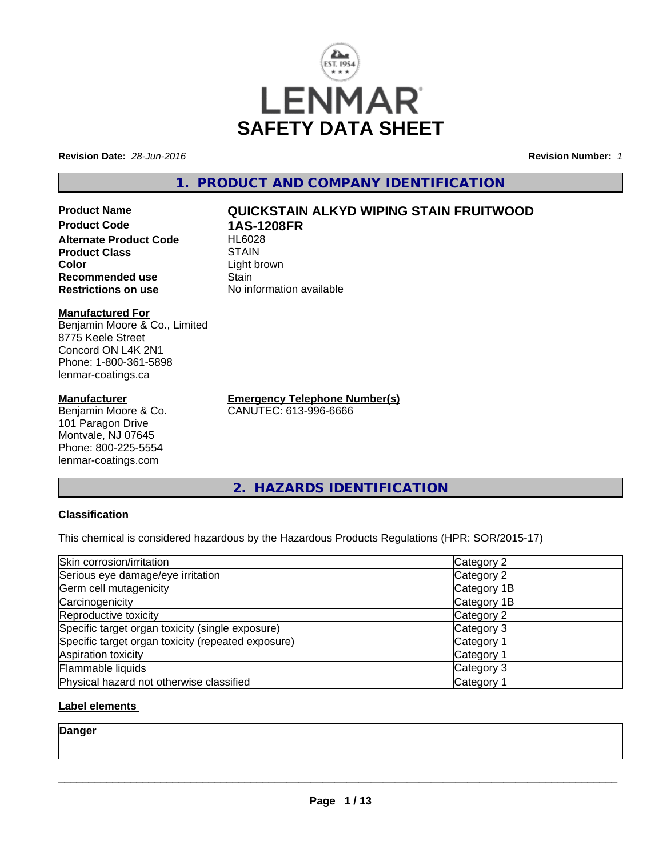

**Revision Date:** *28-Jun-2016* **Revision Number:** *1*

## **1. PRODUCT AND COMPANY IDENTIFICATION**

**Product Name QUICKSTAIN ALKYD WIPING STAIN FRUITWOOD Product Code 1AS-1208FR Alternate Product Code Product Class STAIN STAIN**<br> **Color** Light b **Recommended use Stain Restrictions on use** No information available

#### **Manufactured For**

Benjamin Moore & Co., Limited 8775 Keele Street Concord ON L4K 2N1 Phone: 1-800-361-5898 lenmar-coatings.ca

#### **Manufacturer**

Benjamin Moore & Co. 101 Paragon Drive Montvale, NJ 07645 Phone: 800-225-5554 lenmar-coatings.com

Light brown

**Emergency Telephone Number(s)** CANUTEC: 613-996-6666

**2. HAZARDS IDENTIFICATION**

#### **Classification**

This chemical is considered hazardous by the Hazardous Products Regulations (HPR: SOR/2015-17)

| Skin corrosion/irritation                          | Category 2            |
|----------------------------------------------------|-----------------------|
| Serious eye damage/eye irritation                  | Category 2            |
| Germ cell mutagenicity                             | Category 1B           |
| Carcinogenicity                                    | Category 1B           |
| Reproductive toxicity                              | Category 2            |
| Specific target organ toxicity (single exposure)   | Category 3            |
| Specific target organ toxicity (repeated exposure) | Category <sup>2</sup> |
| Aspiration toxicity                                | Category 1            |
| Flammable liquids                                  | Category 3            |
| Physical hazard not otherwise classified           | Category 1            |

#### **Label elements**

**Danger**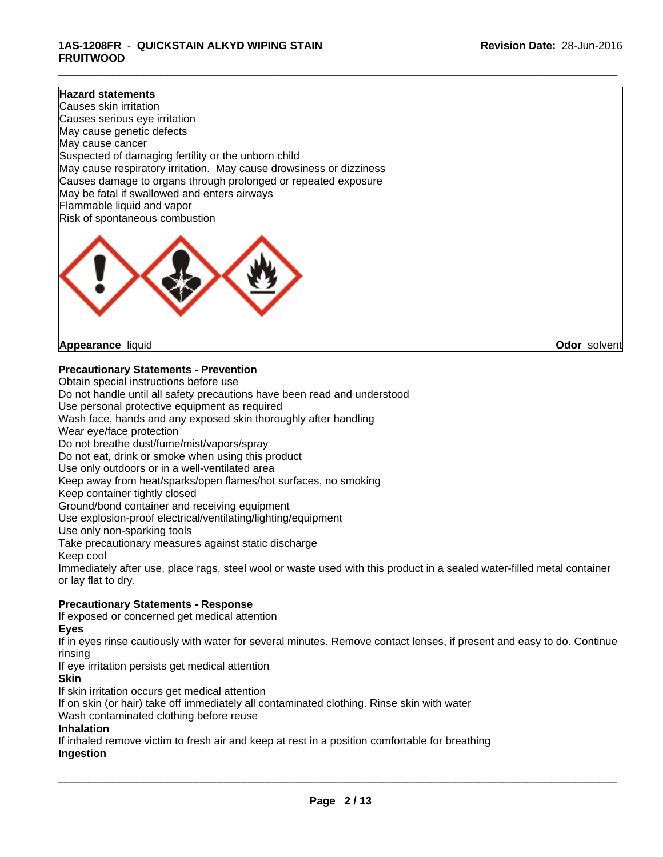#### **1AS-1208FR** - **QUICKSTAIN ALKYD WIPING STAIN FRUITWOOD**

#### **Hazard statements**

Causes skin irritation Causes serious eye irritation May cause genetic defects May cause cancer Suspected of damaging fertility or the unborn child May cause respiratory irritation. May cause drowsiness or dizziness Causes damage to organs through prolonged or repeated exposure May be fatal if swallowed and enters airways Flammable liquid and vapor Risk of spontaneous combustion



**Appearance** liquid **Odor** solvent

**Precautionary Statements - Prevention**

Obtain special instructions before use Do not handle until all safety precautions have been read and understood Use personal protective equipment as required Wash face, hands and any exposed skin thoroughly after handling Wear eye/face protection Do not breathe dust/fume/mist/vapors/spray Do not eat, drink or smoke when using this product Use only outdoors or in a well-ventilated area Keep away from heat/sparks/open flames/hot surfaces, no smoking Keep container tightly closed Ground/bond container and receiving equipment Use explosion-proof electrical/ventilating/lighting/equipment Use only non-sparking tools Take precautionary measures against static discharge Keep cool Immediately after use, place rags, steel wool or waste used with this product in a sealed water-filled metal container or lay flat to dry. **Precautionary Statements - Response** If exposed or concerned get medical attention

#### **Eyes**

If in eyes rinse cautiously with water for several minutes. Remove contact lenses, if present and easy to do. Continue rinsing

If eye irritation persists get medical attention

#### **Skin**

If skin irritation occurs get medical attention

If on skin (or hair) take off immediately all contaminated clothing. Rinse skin with water

Wash contaminated clothing before reuse

#### **Inhalation**

If inhaled remove victim to fresh air and keep at rest in a position comfortable for breathing **Ingestion**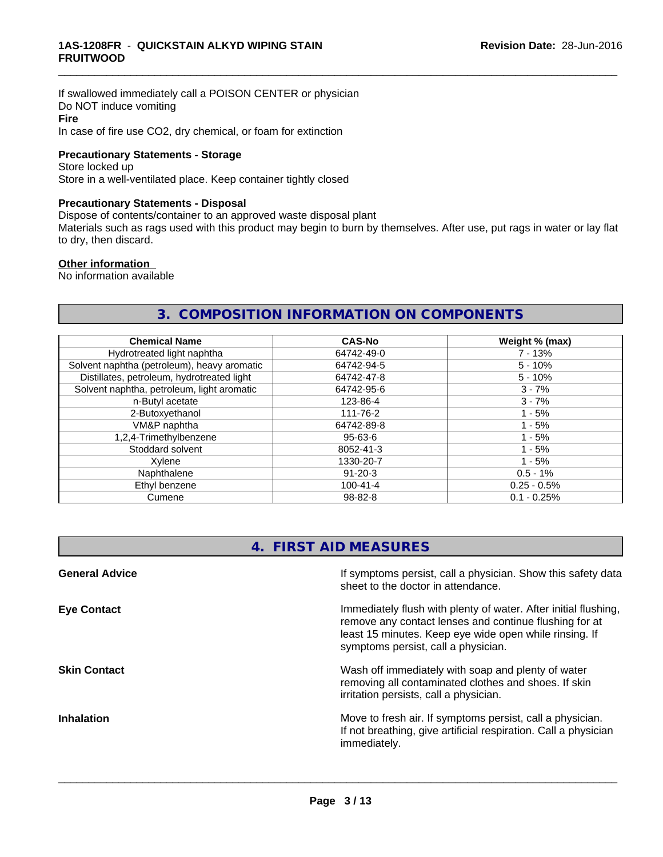If swallowed immediately call a POISON CENTER or physician Do NOT induce vomiting **Fire** In case of fire use CO2, dry chemical, or foam for extinction

#### **Precautionary Statements - Storage**

Store locked up Store in a well-ventilated place. Keep container tightly closed

#### **Precautionary Statements - Disposal**

Dispose of contents/container to an approved waste disposal plant

Materials such as rags used with this product may begin to burn by themselves. After use, put rags in water or lay flat to dry, then discard.

\_\_\_\_\_\_\_\_\_\_\_\_\_\_\_\_\_\_\_\_\_\_\_\_\_\_\_\_\_\_\_\_\_\_\_\_\_\_\_\_\_\_\_\_\_\_\_\_\_\_\_\_\_\_\_\_\_\_\_\_\_\_\_\_\_\_\_\_\_\_\_\_\_\_\_\_\_\_\_\_\_\_\_\_\_\_\_\_\_\_\_\_\_

#### **Other information**

No information available

### **3. COMPOSITION INFORMATION ON COMPONENTS**

| <b>Chemical Name</b>                        | <b>CAS-No</b>  | Weight % (max) |
|---------------------------------------------|----------------|----------------|
| Hydrotreated light naphtha                  | 64742-49-0     | $7 - 13%$      |
| Solvent naphtha (petroleum), heavy aromatic | 64742-94-5     | $5 - 10%$      |
| Distillates, petroleum, hydrotreated light  | 64742-47-8     | $5 - 10%$      |
| Solvent naphtha, petroleum, light aromatic  | 64742-95-6     | $3 - 7%$       |
| n-Butyl acetate                             | 123-86-4       | $3 - 7%$       |
| 2-Butoxyethanol                             | 111-76-2       | l - 5%         |
| VM&P naphtha                                | 64742-89-8     | $1 - 5%$       |
| 1,2,4-Trimethylbenzene                      | $95 - 63 - 6$  |                |
| Stoddard solvent<br>8052-41-3               |                | $1 - 5%$       |
| Xvlene                                      | 1330-20-7      | $1 - 5%$       |
| Naphthalene                                 | $91 - 20 - 3$  | $0.5 - 1%$     |
| Ethyl benzene                               | $100 - 41 - 4$ | $0.25 - 0.5%$  |
| Cumene                                      | $98 - 82 - 8$  |                |

### **4. FIRST AID MEASURES**

| <b>General Advice</b> | If symptoms persist, call a physician. Show this safety data<br>sheet to the doctor in attendance.                                                                                                                         |
|-----------------------|----------------------------------------------------------------------------------------------------------------------------------------------------------------------------------------------------------------------------|
| <b>Eye Contact</b>    | Immediately flush with plenty of water. After initial flushing,<br>remove any contact lenses and continue flushing for at<br>least 15 minutes. Keep eye wide open while rinsing. If<br>symptoms persist, call a physician. |
| <b>Skin Contact</b>   | Wash off immediately with soap and plenty of water<br>removing all contaminated clothes and shoes. If skin<br>irritation persists, call a physician.                                                                       |
| <b>Inhalation</b>     | Move to fresh air. If symptoms persist, call a physician.<br>If not breathing, give artificial respiration. Call a physician<br>immediately.                                                                               |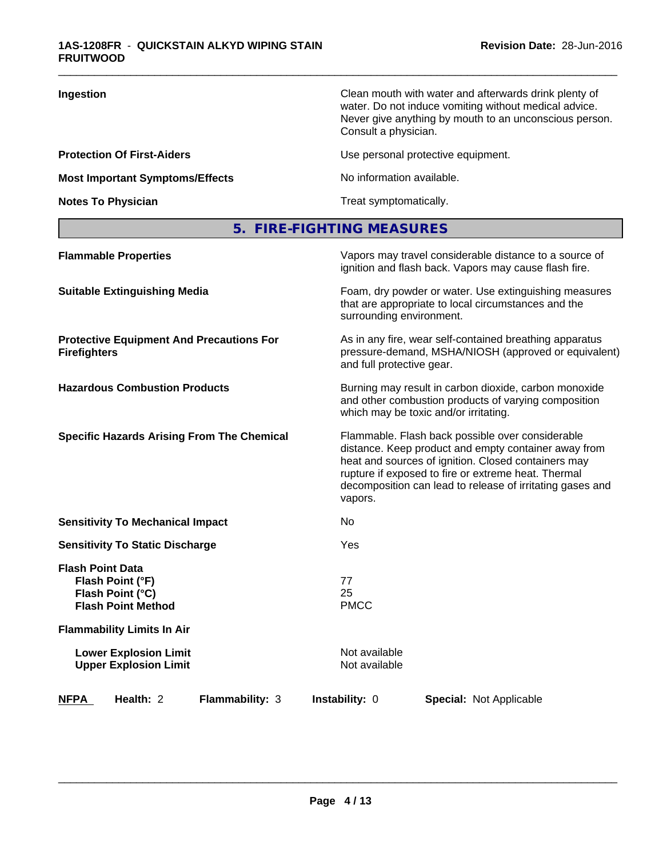| Ingestion                              | Clean mouth with water and afterwards drink plenty of<br>water. Do not induce vomiting without medical advice.<br>Never give anything by mouth to an unconscious person.<br>Consult a physician. |
|----------------------------------------|--------------------------------------------------------------------------------------------------------------------------------------------------------------------------------------------------|
| <b>Protection Of First-Aiders</b>      | Use personal protective equipment.                                                                                                                                                               |
| <b>Most Important Symptoms/Effects</b> | No information available.                                                                                                                                                                        |
| <b>Notes To Physician</b>              | Treat symptomatically.                                                                                                                                                                           |
|                                        |                                                                                                                                                                                                  |

# **5. FIRE-FIGHTING MEASURES**

| <b>Flammable Properties</b>                                                                  | Vapors may travel considerable distance to a source of<br>ignition and flash back. Vapors may cause flash fire.                                                                                                                                                                                |  |  |
|----------------------------------------------------------------------------------------------|------------------------------------------------------------------------------------------------------------------------------------------------------------------------------------------------------------------------------------------------------------------------------------------------|--|--|
| <b>Suitable Extinguishing Media</b>                                                          | Foam, dry powder or water. Use extinguishing measures<br>that are appropriate to local circumstances and the<br>surrounding environment.                                                                                                                                                       |  |  |
| <b>Protective Equipment And Precautions For</b><br><b>Firefighters</b>                       | As in any fire, wear self-contained breathing apparatus<br>pressure-demand, MSHA/NIOSH (approved or equivalent)<br>and full protective gear.                                                                                                                                                   |  |  |
| <b>Hazardous Combustion Products</b>                                                         | Burning may result in carbon dioxide, carbon monoxide<br>and other combustion products of varying composition<br>which may be toxic and/or irritating.                                                                                                                                         |  |  |
| <b>Specific Hazards Arising From The Chemical</b>                                            | Flammable. Flash back possible over considerable<br>distance. Keep product and empty container away from<br>heat and sources of ignition. Closed containers may<br>rupture if exposed to fire or extreme heat. Thermal<br>decomposition can lead to release of irritating gases and<br>vapors. |  |  |
| <b>Sensitivity To Mechanical Impact</b>                                                      | No.                                                                                                                                                                                                                                                                                            |  |  |
| <b>Sensitivity To Static Discharge</b>                                                       | <b>Yes</b>                                                                                                                                                                                                                                                                                     |  |  |
| <b>Flash Point Data</b><br>Flash Point (°F)<br>Flash Point (°C)<br><b>Flash Point Method</b> | 77<br>25<br><b>PMCC</b>                                                                                                                                                                                                                                                                        |  |  |
| <b>Flammability Limits In Air</b>                                                            |                                                                                                                                                                                                                                                                                                |  |  |
| <b>Lower Explosion Limit</b><br><b>Upper Explosion Limit</b>                                 | Not available<br>Not available                                                                                                                                                                                                                                                                 |  |  |
| <b>NFPA</b><br>Health: 2<br>Flammability: 3                                                  | <b>Instability: 0</b><br><b>Special: Not Applicable</b>                                                                                                                                                                                                                                        |  |  |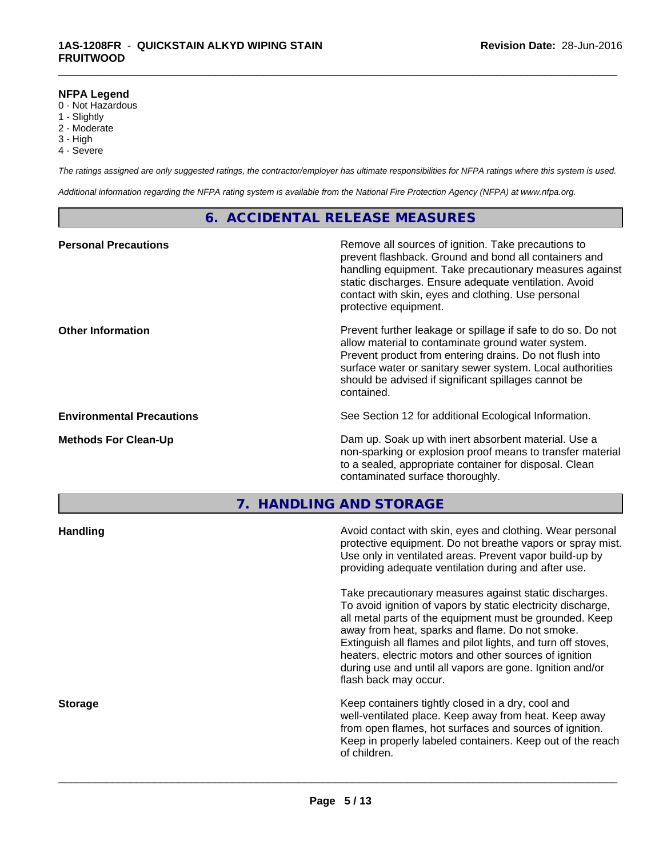#### **NFPA Legend**

- 0 Not Hazardous
- 1 Slightly
- 2 Moderate
- 3 High
- 4 Severe

*The ratings assigned are only suggested ratings, the contractor/employer has ultimate responsibilities for NFPA ratings where this system is used.*

\_\_\_\_\_\_\_\_\_\_\_\_\_\_\_\_\_\_\_\_\_\_\_\_\_\_\_\_\_\_\_\_\_\_\_\_\_\_\_\_\_\_\_\_\_\_\_\_\_\_\_\_\_\_\_\_\_\_\_\_\_\_\_\_\_\_\_\_\_\_\_\_\_\_\_\_\_\_\_\_\_\_\_\_\_\_\_\_\_\_\_\_\_

*Additional information regarding the NFPA rating system is available from the National Fire Protection Agency (NFPA) at www.nfpa.org.*

### **6. ACCIDENTAL RELEASE MEASURES**

| <b>Personal Precautions</b>      | Remove all sources of ignition. Take precautions to<br>prevent flashback. Ground and bond all containers and<br>handling equipment. Take precautionary measures against<br>static discharges. Ensure adequate ventilation. Avoid<br>contact with skin, eyes and clothing. Use personal<br>protective equipment.  |
|----------------------------------|------------------------------------------------------------------------------------------------------------------------------------------------------------------------------------------------------------------------------------------------------------------------------------------------------------------|
| <b>Other Information</b>         | Prevent further leakage or spillage if safe to do so. Do not<br>allow material to contaminate ground water system.<br>Prevent product from entering drains. Do not flush into<br>surface water or sanitary sewer system. Local authorities<br>should be advised if significant spillages cannot be<br>contained. |
| <b>Environmental Precautions</b> | See Section 12 for additional Ecological Information.                                                                                                                                                                                                                                                            |
| <b>Methods For Clean-Up</b>      | Dam up. Soak up with inert absorbent material. Use a<br>non-sparking or explosion proof means to transfer material<br>to a sealed, appropriate container for disposal. Clean<br>contaminated surface thoroughly.                                                                                                 |

**7. HANDLING AND STORAGE**

| Avoid contact with skin, eyes and clothing. Wear personal<br>protective equipment. Do not breathe vapors or spray mist.<br>Use only in ventilated areas. Prevent vapor build-up by<br>providing adequate ventilation during and after use.                                                                                                                                                                                                           |
|------------------------------------------------------------------------------------------------------------------------------------------------------------------------------------------------------------------------------------------------------------------------------------------------------------------------------------------------------------------------------------------------------------------------------------------------------|
| Take precautionary measures against static discharges.<br>To avoid ignition of vapors by static electricity discharge,<br>all metal parts of the equipment must be grounded. Keep<br>away from heat, sparks and flame. Do not smoke.<br>Extinguish all flames and pilot lights, and turn off stoves,<br>heaters, electric motors and other sources of ignition<br>during use and until all vapors are gone. Ignition and/or<br>flash back may occur. |
| Keep containers tightly closed in a dry, cool and<br>well-ventilated place. Keep away from heat. Keep away<br>from open flames, hot surfaces and sources of ignition.<br>Keep in properly labeled containers. Keep out of the reach<br>of children.                                                                                                                                                                                                  |
|                                                                                                                                                                                                                                                                                                                                                                                                                                                      |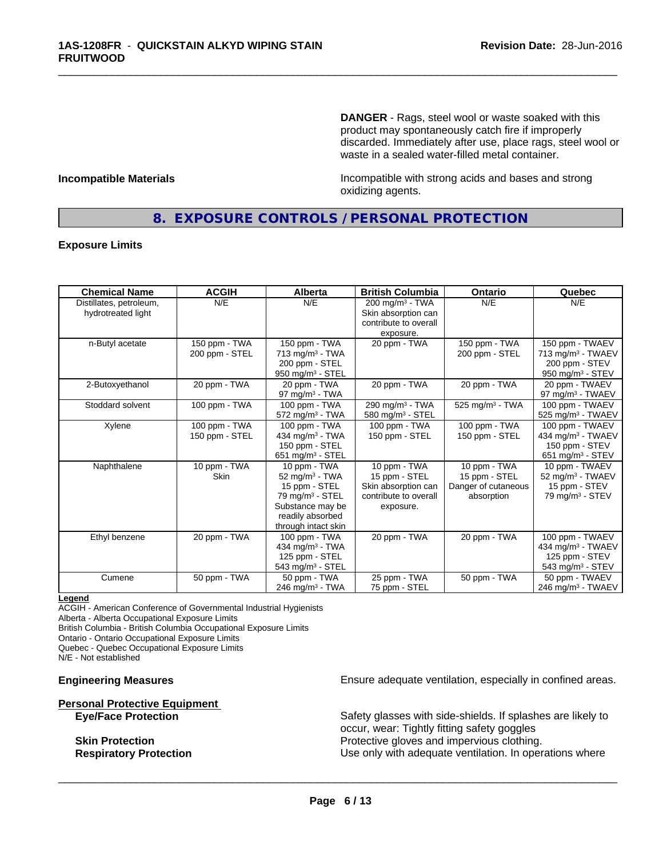**DANGER** - Rags, steel wool or waste soaked with this product may spontaneously catch fire if improperly discarded. Immediately after use, place rags, steel wool or waste in a sealed water-filled metal container.

**Incompatible Materials Incompatible with strong acids and bases and strong** oxidizing agents.

### **8. EXPOSURE CONTROLS / PERSONAL PROTECTION**

\_\_\_\_\_\_\_\_\_\_\_\_\_\_\_\_\_\_\_\_\_\_\_\_\_\_\_\_\_\_\_\_\_\_\_\_\_\_\_\_\_\_\_\_\_\_\_\_\_\_\_\_\_\_\_\_\_\_\_\_\_\_\_\_\_\_\_\_\_\_\_\_\_\_\_\_\_\_\_\_\_\_\_\_\_\_\_\_\_\_\_\_\_

#### **Exposure Limits**

| <b>Chemical Name</b>    | <b>ACGIH</b>   | Alberta                       | <b>British Columbia</b>       | <b>Ontario</b>              | Quebec                         |
|-------------------------|----------------|-------------------------------|-------------------------------|-----------------------------|--------------------------------|
| Distillates, petroleum, | N/E            | N/E                           | $200$ mg/m <sup>3</sup> - TWA | N/E                         | N/E                            |
| hydrotreated light      |                |                               | Skin absorption can           |                             |                                |
|                         |                |                               | contribute to overall         |                             |                                |
|                         |                |                               | exposure.                     |                             |                                |
| n-Butyl acetate         | 150 ppm - TWA  | 150 ppm - TWA                 | 20 ppm - TWA                  | 150 ppm - TWA               | 150 ppm - TWAEV                |
|                         | 200 ppm - STEL | 713 mg/m <sup>3</sup> - TWA   |                               | 200 ppm - STEL              | 713 mg/m <sup>3</sup> - TWAEV  |
|                         |                | 200 ppm - STEL                |                               |                             | 200 ppm - STEV                 |
|                         |                | 950 mg/m <sup>3</sup> - STEL  |                               |                             | 950 mg/m <sup>3</sup> - STEV   |
| 2-Butoxyethanol         | 20 ppm - TWA   | 20 ppm - TWA                  | 20 ppm - TWA                  | 20 ppm - TWA                | 20 ppm - TWAEV                 |
|                         |                | 97 mg/m $3$ - TWA             |                               |                             | 97 mg/m <sup>3</sup> - TWAEV   |
| Stoddard solvent        | 100 ppm - TWA  | 100 ppm - TWA                 | 290 mg/m <sup>3</sup> - TWA   | 525 mg/m <sup>3</sup> - TWA | 100 ppm - TWAEV                |
|                         |                | $572$ mg/m <sup>3</sup> - TWA | 580 mg/m <sup>3</sup> - STEL  |                             | 525 mg/m <sup>3</sup> - TWAEV  |
| Xylene                  | 100 ppm - TWA  | 100 ppm - TWA                 | 100 ppm - TWA                 | 100 ppm - TWA               | 100 ppm - TWAEV                |
|                         | 150 ppm - STEL | 434 mg/m $3$ - TWA            | 150 ppm - STEL                | 150 ppm - STEL              | 434 mg/m <sup>3</sup> - TWAEV  |
|                         |                | 150 ppm - STEL                |                               |                             | 150 ppm - STEV                 |
|                         |                | 651 mg/m $3 -$ STEL           |                               |                             | $651$ mg/m <sup>3</sup> - STEV |
| Naphthalene             | 10 ppm - $TWA$ | 10 ppm - TWA                  | 10 ppm $-$ TWA                | 10 ppm - TWA                | 10 ppm - TWAEV                 |
|                         | <b>Skin</b>    | 52 mg/m $3$ - TWA             | 15 ppm - STEL                 | 15 ppm - STEL               | 52 mg/m <sup>3</sup> - TWAEV   |
|                         |                | 15 ppm - STEL                 | Skin absorption can           | Danger of cutaneous         | 15 ppm - STEV                  |
|                         |                | 79 mg/m <sup>3</sup> - STEL   | contribute to overall         | absorption                  | $79$ mg/m <sup>3</sup> - STEV  |
|                         |                | Substance may be              | exposure.                     |                             |                                |
|                         |                | readily absorbed              |                               |                             |                                |
|                         |                | through intact skin           |                               |                             |                                |
| Ethyl benzene           | 20 ppm - TWA   | 100 ppm - TWA                 | 20 ppm - TWA                  | 20 ppm - TWA                | 100 ppm - TWAEV                |
|                         |                | 434 mg/m <sup>3</sup> - TWA   |                               |                             | 434 mg/m <sup>3</sup> - TWAEV  |
|                         |                | 125 ppm - STEL                |                               |                             | 125 ppm - STEV                 |
|                         |                | 543 mg/m $3 -$ STEL           |                               |                             | 543 mg/m <sup>3</sup> - STEV   |
| Cumene                  | 50 ppm - TWA   | 50 ppm - TWA                  | 25 ppm - TWA                  | 50 ppm - TWA                | 50 ppm - TWAEV                 |
|                         |                | 246 mg/m <sup>3</sup> - TWA   | 75 ppm - STEL                 |                             | 246 mg/m <sup>3</sup> - TWAEV  |

#### **Legend**

ACGIH - American Conference of Governmental Industrial Hygienists Alberta - Alberta Occupational Exposure Limits

British Columbia - British Columbia Occupational Exposure Limits

Ontario - Ontario Occupational Exposure Limits Quebec - Quebec Occupational Exposure Limits

N/E - Not established

# **Personal Protective Equipment**

**Engineering Measures Ensure adequate ventilation, especially in confined areas.** 

Safety glasses with side-shields. If splashes are likely to occur, wear: Tightly fitting safety goggles **Skin Protection Protection Protective gloves and impervious clothing. Respiratory Protection Exercise 2018** Use only with adequate ventilation. In operations where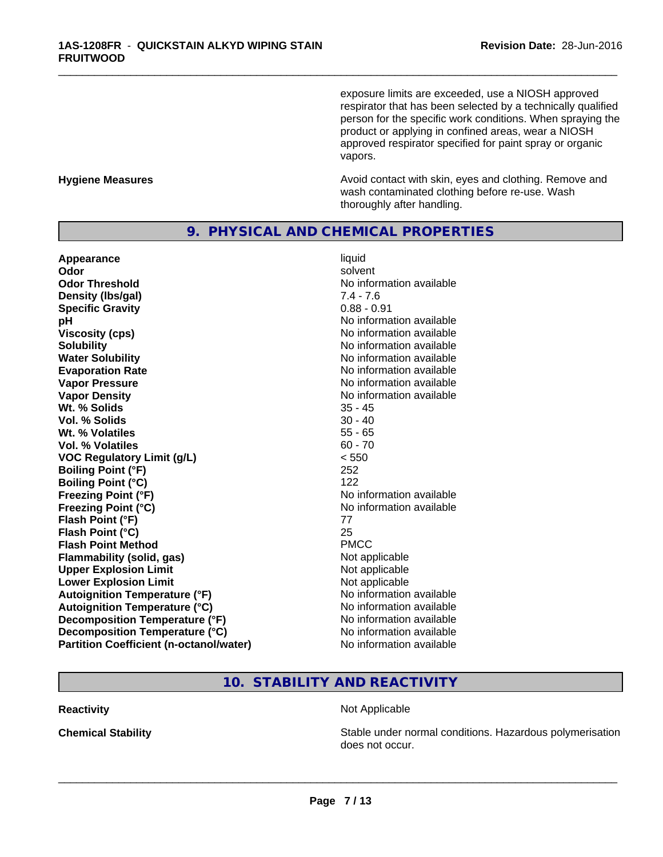exposure limits are exceeded, use a NIOSH approved respirator that has been selected by a technically qualified person for the specific work conditions. When spraying the product or applying in confined areas, wear a NIOSH approved respirator specified for paint spray or organic vapors.

**Hygiene Measures Avoid contact with skin, eyes and clothing. Remove and Avoid contact with skin, eyes and clothing. Remove and Avoid contact with skin, eyes and clothing. Remove and** wash contaminated clothing before re-use. Wash thoroughly after handling.

#### **9. PHYSICAL AND CHEMICAL PROPERTIES**

**Appearance** liquid and **a liquid liquid liquid** and **a liquid liquid** solvent **Odor** solvent **Odor Threshold No information available Density (Ibs/gal)** 7.4 - 7.6<br> **Specific Gravity** 6.88 - 0.91 **Specific Gravity pH** No information available **Viscosity (cps)** No information available **Solubility**<br> **No** information available<br> **Water Solubility**<br> **Water Solubility Evaporation Rate Evaporation Rate No information available Vapor Pressure** No information available **Vapor Density No information available No information available Wt.** % Solids 35 - 45 **Vol. % Solids** 30 - 40 **Wt. % Volatiles** 55 - 65 **Vol. % Volatiles** 60 - 70 **VOC Regulatory Limit (g/L)** < 550 **Boiling Point (°F)** 252 **Boiling Point (°C)** 122 **Freezing Point (°F)**<br> **Freezing Point (°C)**<br> **Freezing Point (°C)**<br> **Reezing Point (°C)**<br> **Reezing Point (°C) Flash Point (°F)** 77 **Flash Point (°C)** 25 **Flash Point Method** PMCC **Flammability (solid, gas)** Not applicable **Upper Explosion Limit** Not applicable **Lower Explosion Limit Contract Accord Accord Accord Accord Accord Accord Accord Accord Accord Accord Accord Accord Accord Accord Accord Accord Accord Accord Accord Accord Accord Accord Accord Accord Accord Accord Accord Autoignition Temperature (°F)**<br> **Autoignition Temperature (°C)** No information available **Autoignition Temperature (°C) Decomposition Temperature (°F)** No information available **Decomposition Temperature (°C)** No information available **Partition Coefficient (n-octanol/water)** No information available

**No information available Freezing Point (°C)** No information available

\_\_\_\_\_\_\_\_\_\_\_\_\_\_\_\_\_\_\_\_\_\_\_\_\_\_\_\_\_\_\_\_\_\_\_\_\_\_\_\_\_\_\_\_\_\_\_\_\_\_\_\_\_\_\_\_\_\_\_\_\_\_\_\_\_\_\_\_\_\_\_\_\_\_\_\_\_\_\_\_\_\_\_\_\_\_\_\_\_\_\_\_\_

### **10. STABILITY AND REACTIVITY**

#### **Reactivity Not Applicable Not Applicable**

 $\overline{\phantom{a}}$  ,  $\overline{\phantom{a}}$  ,  $\overline{\phantom{a}}$  ,  $\overline{\phantom{a}}$  ,  $\overline{\phantom{a}}$  ,  $\overline{\phantom{a}}$  ,  $\overline{\phantom{a}}$  ,  $\overline{\phantom{a}}$  ,  $\overline{\phantom{a}}$  ,  $\overline{\phantom{a}}$  ,  $\overline{\phantom{a}}$  ,  $\overline{\phantom{a}}$  ,  $\overline{\phantom{a}}$  ,  $\overline{\phantom{a}}$  ,  $\overline{\phantom{a}}$  ,  $\overline{\phantom{a}}$ 

**Chemical Stability Stability** Stable under normal conditions. Hazardous polymerisation does not occur.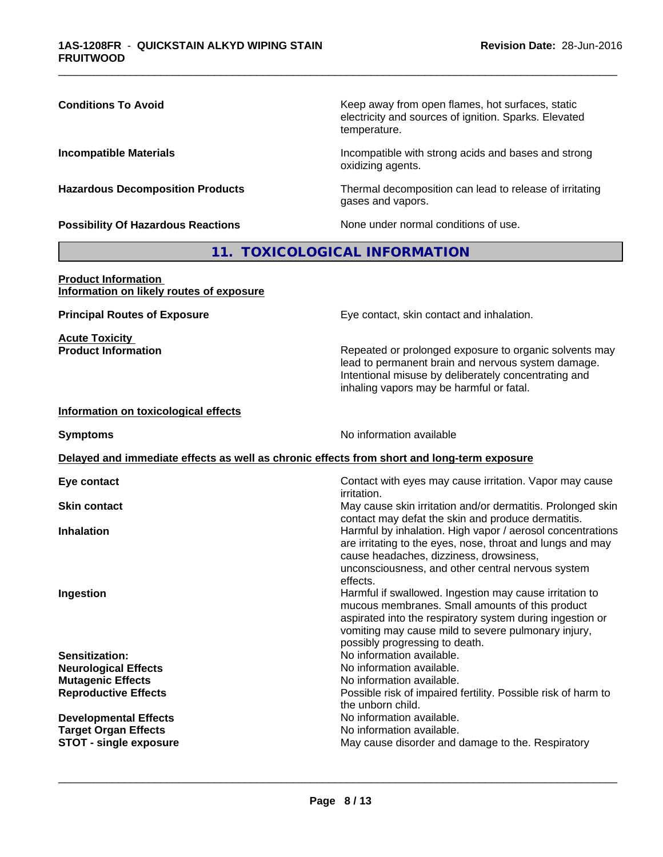| electricity and sources of ignition. Sparks. Elevated<br>temperature.                                                                                                                                                                                                                 |  |  |  |
|---------------------------------------------------------------------------------------------------------------------------------------------------------------------------------------------------------------------------------------------------------------------------------------|--|--|--|
| Incompatible with strong acids and bases and strong<br><b>Incompatible Materials</b><br>oxidizing agents.                                                                                                                                                                             |  |  |  |
| <b>Hazardous Decomposition Products</b><br>Thermal decomposition can lead to release of irritating<br>gases and vapors.                                                                                                                                                               |  |  |  |
| None under normal conditions of use.<br><b>Possibility Of Hazardous Reactions</b>                                                                                                                                                                                                     |  |  |  |
| 11. TOXICOLOGICAL INFORMATION                                                                                                                                                                                                                                                         |  |  |  |
| <b>Product Information</b><br>Information on likely routes of exposure                                                                                                                                                                                                                |  |  |  |
| <b>Principal Routes of Exposure</b><br>Eye contact, skin contact and inhalation.                                                                                                                                                                                                      |  |  |  |
| <b>Acute Toxicity</b><br><b>Product Information</b><br>Repeated or prolonged exposure to organic solvents may<br>lead to permanent brain and nervous system damage.<br>Intentional misuse by deliberately concentrating and<br>inhaling vapors may be harmful or fatal.               |  |  |  |
| Information on toxicological effects                                                                                                                                                                                                                                                  |  |  |  |
| No information available<br><b>Symptoms</b>                                                                                                                                                                                                                                           |  |  |  |
| Delayed and immediate effects as well as chronic effects from short and long-term exposure                                                                                                                                                                                            |  |  |  |
| Contact with eyes may cause irritation. Vapor may cause<br>Eye contact<br>irritation.                                                                                                                                                                                                 |  |  |  |
| May cause skin irritation and/or dermatitis. Prolonged skin<br><b>Skin contact</b><br>contact may defat the skin and produce dermatitis.                                                                                                                                              |  |  |  |
| Harmful by inhalation. High vapor / aerosol concentrations<br><b>Inhalation</b><br>are irritating to the eyes, nose, throat and lungs and may<br>cause headaches, dizziness, drowsiness,<br>unconsciousness, and other central nervous system<br>effects.                             |  |  |  |
| Harmful if swallowed. Ingestion may cause irritation to<br>Ingestion<br>mucous membranes. Small amounts of this product<br>aspirated into the respiratory system during ingestion or<br>vomiting may cause mild to severe pulmonary injury,<br>possibly progressing to death.         |  |  |  |
| No information available.<br>Sensitization:<br>No information available.<br><b>Neurological Effects</b><br><b>Mutagenic Effects</b><br>No information available.<br>Possible risk of impaired fertility. Possible risk of harm to<br><b>Reproductive Effects</b><br>the unborn child. |  |  |  |
| No information available.<br><b>Developmental Effects</b><br>No information available.<br><b>Target Organ Effects</b><br>May cause disorder and damage to the. Respiratory<br><b>STOT - single exposure</b>                                                                           |  |  |  |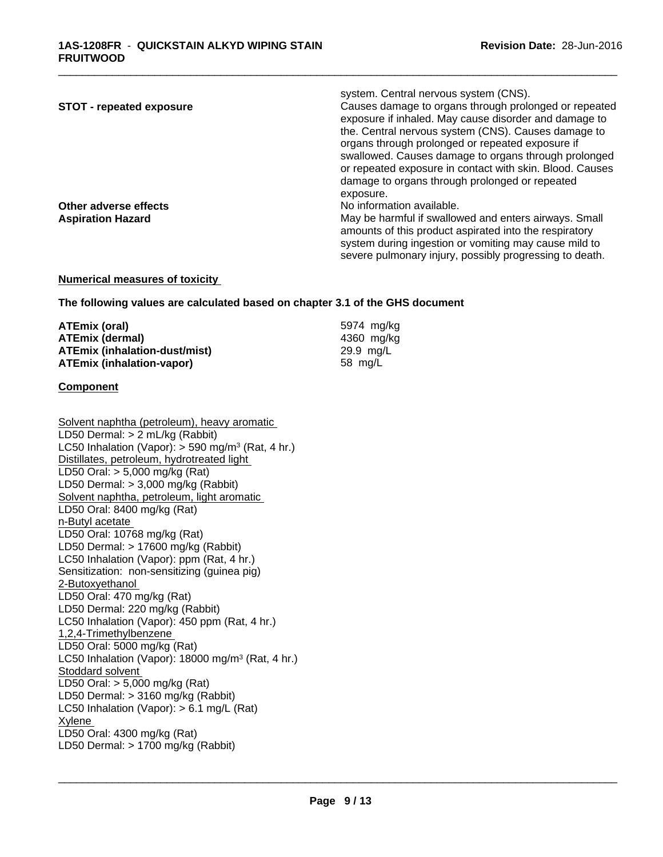| <b>STOT - repeated exposure</b> | system. Central nervous system (CNS).<br>Causes damage to organs through prolonged or repeated<br>exposure if inhaled. May cause disorder and damage to |
|---------------------------------|---------------------------------------------------------------------------------------------------------------------------------------------------------|
|                                 | the. Central nervous system (CNS). Causes damage to<br>organs through prolonged or repeated exposure if                                                 |
|                                 | swallowed. Causes damage to organs through prolonged<br>or repeated exposure in contact with skin. Blood. Causes                                        |
|                                 | damage to organs through prolonged or repeated                                                                                                          |
|                                 | exposure.                                                                                                                                               |
| Other adverse effects           | No information available.                                                                                                                               |
| <b>Aspiration Hazard</b>        | May be harmful if swallowed and enters airways. Small                                                                                                   |
|                                 | amounts of this product aspirated into the respiratory                                                                                                  |
|                                 | system during ingestion or vomiting may cause mild to                                                                                                   |
|                                 | severe pulmonary injury, possibly progressing to death.                                                                                                 |

#### **Numerical measures of toxicity**

**The following values are calculated based on chapter 3.1 of the GHS document**

| ATEmix (oral)                        | 5974 mg/kg |
|--------------------------------------|------------|
| <b>ATEmix (dermal)</b>               | 4360 mg/kg |
| <b>ATEmix (inhalation-dust/mist)</b> | 29.9 mg/L  |
| <b>ATEmix (inhalation-vapor)</b>     | 58 mg/L    |

#### **Component**

Solvent naphtha (petroleum), heavy aromatic LD50 Dermal: > 2 mL/kg (Rabbit) LC50 Inhalation (Vapor): > 590 mg/m<sup>3</sup> (Rat, 4 hr.) Distillates, petroleum, hydrotreated light LD50 Oral: > 5,000 mg/kg (Rat) LD50 Dermal: > 3,000 mg/kg (Rabbit) Solvent naphtha, petroleum, light aromatic LD50 Oral: 8400 mg/kg (Rat) n-Butyl acetate LD50 Oral: 10768 mg/kg (Rat) LD50 Dermal: > 17600 mg/kg (Rabbit) LC50 Inhalation (Vapor): ppm (Rat, 4 hr.) Sensitization: non-sensitizing (guinea pig) 2-Butoxyethanol LD50 Oral: 470 mg/kg (Rat) LD50 Dermal: 220 mg/kg (Rabbit) LC50 Inhalation (Vapor): 450 ppm (Rat, 4 hr.) 1,2,4-Trimethylbenzene LD50 Oral: 5000 mg/kg (Rat) LC50 Inhalation (Vapor): 18000 mg/m<sup>3</sup> (Rat, 4 hr.) Stoddard solvent LD50 Oral: > 5,000 mg/kg (Rat) LD50 Dermal: > 3160 mg/kg (Rabbit) LC50 Inhalation (Vapor): > 6.1 mg/L (Rat) Xylene LD50 Oral: 4300 mg/kg (Rat) LD50 Dermal: > 1700 mg/kg (Rabbit)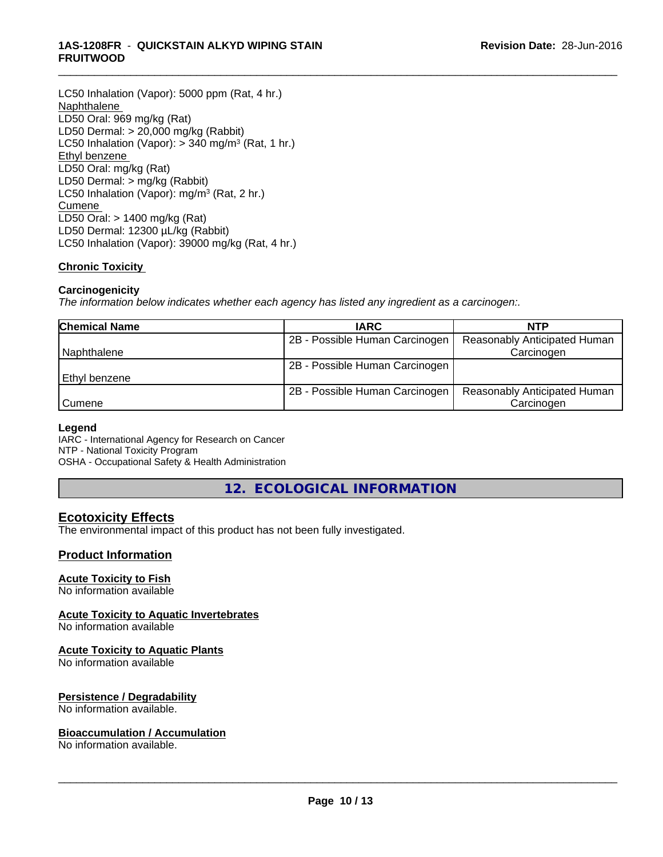#### **1AS-1208FR** - **QUICKSTAIN ALKYD WIPING STAIN FRUITWOOD**

LC50 Inhalation (Vapor): 5000 ppm (Rat, 4 hr.) Naphthalene LD50 Oral: 969 mg/kg (Rat) LD50 Dermal: > 20,000 mg/kg (Rabbit) LC50 Inhalation (Vapor): > 340 mg/m<sup>3</sup> (Rat, 1 hr.) Ethyl benzene LD50 Oral: mg/kg (Rat) LD50 Dermal: > mg/kg (Rabbit) LC50 Inhalation (Vapor): mg/m<sup>3</sup> (Rat, 2 hr.) Cumene LD50 Oral: > 1400 mg/kg (Rat) LD50 Dermal: 12300 µL/kg (Rabbit) LC50 Inhalation (Vapor): 39000 mg/kg (Rat, 4 hr.)

#### **Chronic Toxicity**

#### **Carcinogenicity**

*The information below indicateswhether each agency has listed any ingredient as a carcinogen:.*

| <b>Chemical Name</b> | <b>IARC</b>                    | <b>NTP</b>                          |
|----------------------|--------------------------------|-------------------------------------|
|                      | 2B - Possible Human Carcinogen | Reasonably Anticipated Human        |
| Naphthalene          |                                | Carcinogen                          |
|                      | 2B - Possible Human Carcinogen |                                     |
| l Ethvl benzene      |                                |                                     |
|                      | 2B - Possible Human Carcinogen | <b>Reasonably Anticipated Human</b> |
| <b>Cumene</b>        |                                | Carcinogen                          |

\_\_\_\_\_\_\_\_\_\_\_\_\_\_\_\_\_\_\_\_\_\_\_\_\_\_\_\_\_\_\_\_\_\_\_\_\_\_\_\_\_\_\_\_\_\_\_\_\_\_\_\_\_\_\_\_\_\_\_\_\_\_\_\_\_\_\_\_\_\_\_\_\_\_\_\_\_\_\_\_\_\_\_\_\_\_\_\_\_\_\_\_\_

#### **Legend**

IARC - International Agency for Research on Cancer NTP - National Toxicity Program OSHA - Occupational Safety & Health Administration

**12. ECOLOGICAL INFORMATION**

### **Ecotoxicity Effects**

The environmental impact of this product has not been fully investigated.

#### **Product Information**

#### **Acute Toxicity to Fish**

No information available

#### **Acute Toxicity to Aquatic Invertebrates**

No information available

#### **Acute Toxicity to Aquatic Plants**

No information available

#### **Persistence / Degradability**

No information available.

#### **Bioaccumulation / Accumulation**

No information available.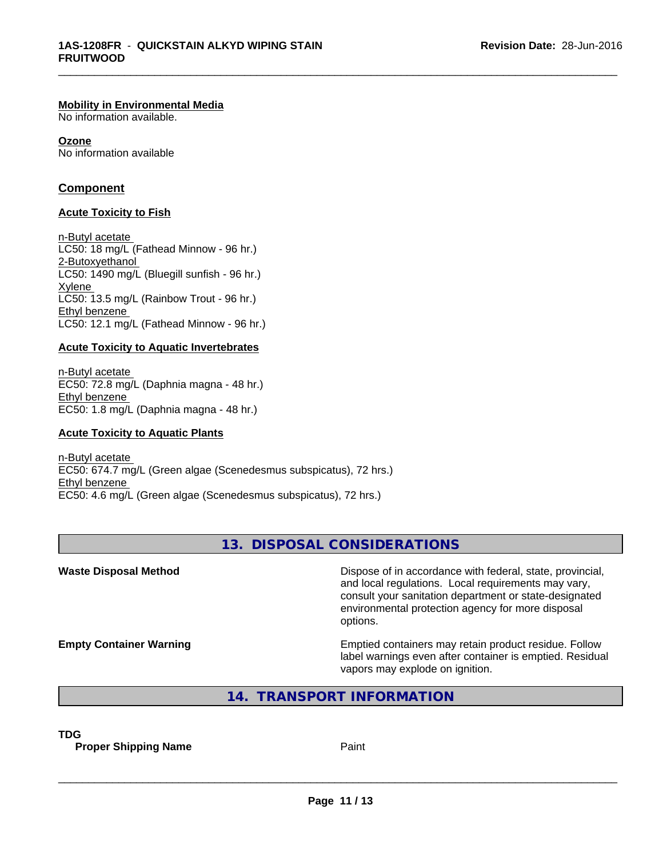#### **Mobility in Environmental Media**

No information available.

**Ozone** No information available

#### **Component**

#### **Acute Toxicity to Fish**

n-Butyl acetate LC50: 18 mg/L (Fathead Minnow - 96 hr.) 2-Butoxyethanol LC50: 1490 mg/L (Bluegill sunfish - 96 hr.) Xylene LC50: 13.5 mg/L (Rainbow Trout - 96 hr.) Ethyl benzene LC50: 12.1 mg/L (Fathead Minnow - 96 hr.)

#### **Acute Toxicity to Aquatic Invertebrates**

n-Butyl acetate EC50: 72.8 mg/L (Daphnia magna - 48 hr.) Ethyl benzene EC50: 1.8 mg/L (Daphnia magna - 48 hr.)

#### **Acute Toxicity to Aquatic Plants**

n-Butyl acetate EC50: 674.7 mg/L (Green algae (Scenedesmus subspicatus), 72 hrs.) Ethyl benzene EC50: 4.6 mg/L (Green algae (Scenedesmus subspicatus), 72 hrs.)

#### **13. DISPOSAL CONSIDERATIONS**

\_\_\_\_\_\_\_\_\_\_\_\_\_\_\_\_\_\_\_\_\_\_\_\_\_\_\_\_\_\_\_\_\_\_\_\_\_\_\_\_\_\_\_\_\_\_\_\_\_\_\_\_\_\_\_\_\_\_\_\_\_\_\_\_\_\_\_\_\_\_\_\_\_\_\_\_\_\_\_\_\_\_\_\_\_\_\_\_\_\_\_\_\_

**Waste Disposal Method Dispose of in accordance with federal, state, provincial,** and local regulations. Local requirements may vary, consult your sanitation department or state-designated environmental protection agency for more disposal options. **Empty Container Warning <b>Emptied** Containers may retain product residue. Follow label warnings even after container is emptied. Residual vapors may explode on ignition. **14. TRANSPORT INFORMATION**

**TDG**

**Proper Shipping Name Paint**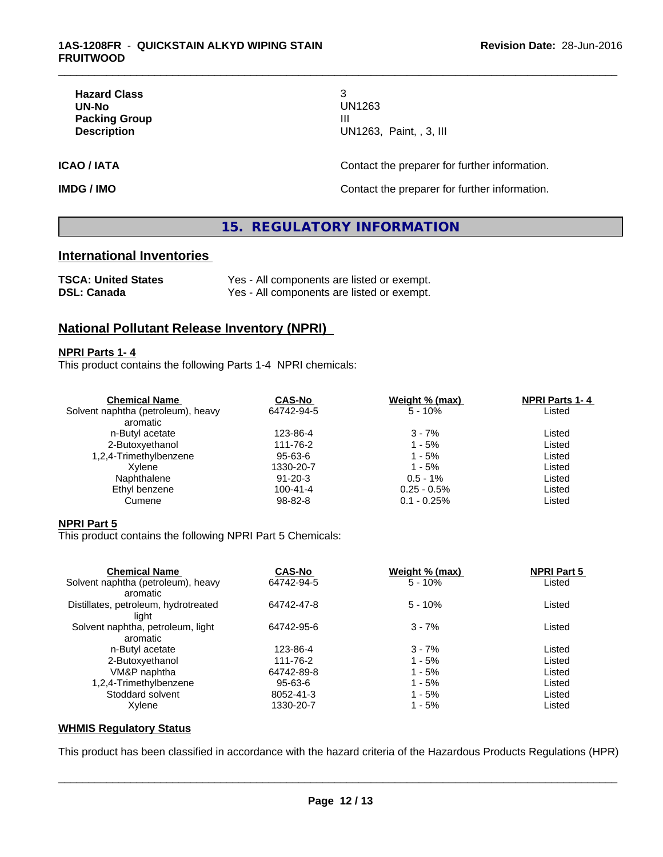| <b>Hazard Class</b>  |                     |
|----------------------|---------------------|
| UN-No                | UN1263              |
| <b>Packing Group</b> | Ш                   |
| <b>Description</b>   | <b>UN1263, Pair</b> |

**Hazard Class** 3 **UN-No** UN1263 **Description** UN1263, Paint, , 3, III

\_\_\_\_\_\_\_\_\_\_\_\_\_\_\_\_\_\_\_\_\_\_\_\_\_\_\_\_\_\_\_\_\_\_\_\_\_\_\_\_\_\_\_\_\_\_\_\_\_\_\_\_\_\_\_\_\_\_\_\_\_\_\_\_\_\_\_\_\_\_\_\_\_\_\_\_\_\_\_\_\_\_\_\_\_\_\_\_\_\_\_\_\_

**ICAO / IATA ICAO / IATA CONSERVING CONTACT CONTACT OF THE PROPERTY OF THE PROPERTY OF ITS AND THE PROPERTY OF ITS AND THE PROPERTY OF ITS AND THE PROPERTY OF ITS AND THE PROPERTY OF ITS AND THE PROPERTY OF ITS AND THE** 

**IMDG / IMO Contact the preparer for further information.** 

### **15. REGULATORY INFORMATION**

#### **International Inventories**

| <b>TSCA: United States</b> | Yes - All components are listed or exempt. |
|----------------------------|--------------------------------------------|
| <b>DSL: Canada</b>         | Yes - All components are listed or exempt. |

### **National Pollutant Release Inventory (NPRI)**

#### **NPRI Parts 1- 4**

This product contains the following Parts 1-4 NPRI chemicals:

| <b>CAS-No</b>  | Weight % (max) | <b>NPRI Parts 1-4</b> |  |
|----------------|----------------|-----------------------|--|
| 64742-94-5     | $5 - 10%$      | Listed                |  |
|                |                |                       |  |
| 123-86-4       | $3 - 7%$       | Listed                |  |
| 111-76-2       | 1 - 5%         | Listed                |  |
| 95-63-6        | $1 - 5%$       | Listed                |  |
| 1330-20-7      | $1 - 5%$       | Listed                |  |
| 91-20-3        | $0.5 - 1\%$    | Listed                |  |
| $100 - 41 - 4$ | $0.25 - 0.5\%$ | Listed                |  |
| 98-82-8        | $0.1 - 0.25%$  | Listed                |  |
|                |                |                       |  |

#### **NPRI Part 5**

This product contains the following NPRI Part 5 Chemicals:

| <b>Chemical Name</b>                 | <b>CAS-No</b> | Weight % (max) | <b>NPRI Part 5</b> |  |
|--------------------------------------|---------------|----------------|--------------------|--|
| Solvent naphtha (petroleum), heavy   | 64742-94-5    | $5 - 10%$      | Listed             |  |
| aromatic                             |               |                |                    |  |
| Distillates, petroleum, hydrotreated | 64742-47-8    | $5 - 10%$      | Listed             |  |
| liaht                                |               |                |                    |  |
| Solvent naphtha, petroleum, light    | 64742-95-6    | $3 - 7%$       | Listed             |  |
| aromatic                             |               |                |                    |  |
| n-Butyl acetate                      | 123-86-4      | $3 - 7%$       | Listed             |  |
| 2-Butoxyethanol                      | 111-76-2      | $1 - 5%$       | Listed             |  |
| VM&P naphtha                         | 64742-89-8    | $1 - 5%$       | Listed             |  |
| 1,2,4-Trimethylbenzene               | 95-63-6       | $1 - 5%$       | Listed             |  |
| Stoddard solvent                     | 8052-41-3     | $1 - 5%$       | Listed             |  |
| Xylene                               | 1330-20-7     | $1 - 5%$       | Listed             |  |
|                                      |               |                |                    |  |

#### **WHMIS Regulatory Status**

This product has been classified in accordance with the hazard criteria of the Hazardous Products Regulations (HPR)